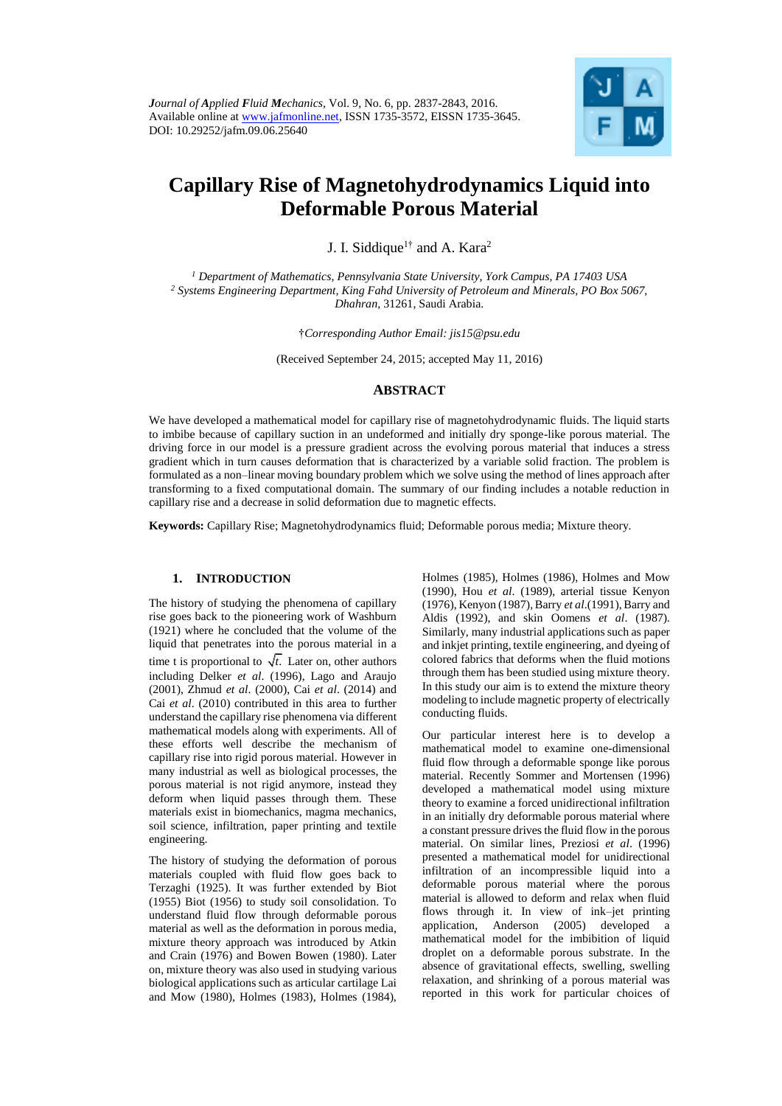

# **Capillary Rise of Magnetohydrodynamics Liquid into Deformable Porous Material**

J. I. Siddique<sup>1†</sup> and A. Kara<sup>2</sup>

*<sup>1</sup> Department of Mathematics, Pennsylvania State University, York Campus, PA 17403 USA <sup>2</sup> Systems Engineering Department, King Fahd University of Petroleum and Minerals, PO Box 5067, Dhahran,* 31261, Saudi Arabia.

†*Corresponding Author Email: jis15@psu.edu*

(Received September 24, 2015; accepted May 11, 2016)

## **ABSTRACT**

We have developed a mathematical model for capillary rise of magnetohydrodynamic fluids. The liquid starts to imbibe because of capillary suction in an undeformed and initially dry sponge-like porous material. The driving force in our model is a pressure gradient across the evolving porous material that induces a stress gradient which in turn causes deformation that is characterized by a variable solid fraction. The problem is formulated as a non–linear moving boundary problem which we solve using the method of lines approach after transforming to a fixed computational domain. The summary of our finding includes a notable reduction in capillary rise and a decrease in solid deformation due to magnetic effects.

**Keywords:** Capillary Rise; Magnetohydrodynamics fluid; Deformable porous media; Mixture theory.

#### **1. INTRODUCTION**

The history of studying the phenomena of capillary rise goes back to the pioneering work of Washburn (1921) where he concluded that the volume of the liquid that penetrates into the porous material in a time t is proportional to  $\sqrt{t}$ . Later on, other authors including Delker *et al*. (1996), Lago and Araujo (2001), Zhmud *et al*. (2000), Cai *et al*. (2014) and Cai *et al*. (2010) contributed in this area to further understand the capillary rise phenomena via different mathematical models along with experiments. All of these efforts well describe the mechanism of capillary rise into rigid porous material. However in many industrial as well as biological processes, the porous material is not rigid anymore, instead they deform when liquid passes through them. These materials exist in biomechanics, magma mechanics, soil science, infiltration, paper printing and textile engineering.

The history of studying the deformation of porous materials coupled with fluid flow goes back to Terzaghi (1925). It was further extended by Biot (1955) Biot (1956) to study soil consolidation. To understand fluid flow through deformable porous material as well as the deformation in porous media, mixture theory approach was introduced by Atkin and Crain (1976) and Bowen Bowen (1980). Later on, mixture theory was also used in studying various biological applications such as articular cartilage Lai and Mow (1980), Holmes (1983), Holmes (1984), Holmes (1985), Holmes (1986), Holmes and Mow (1990), Hou *et al*. (1989), arterial tissue Kenyon (1976), Kenyon (1987), Barry *et al*.(1991), Barry and Aldis (1992), and skin Oomens *et al*. (1987). Similarly, many industrial applications such as paper and inkjet printing, textile engineering, and dyeing of colored fabrics that deforms when the fluid motions through them has been studied using mixture theory. In this study our aim is to extend the mixture theory modeling to include magnetic property of electrically conducting fluids.

Our particular interest here is to develop a mathematical model to examine one-dimensional fluid flow through a deformable sponge like porous material. Recently Sommer and Mortensen (1996) developed a mathematical model using mixture theory to examine a forced unidirectional infiltration in an initially dry deformable porous material where a constant pressure drives the fluid flow in the porous material. On similar lines, Preziosi *et al*. (1996) presented a mathematical model for unidirectional infiltration of an incompressible liquid into a deformable porous material where the porous material is allowed to deform and relax when fluid flows through it. In view of ink–jet printing application, Anderson (2005) developed a mathematical model for the imbibition of liquid droplet on a deformable porous substrate. In the absence of gravitational effects, swelling, swelling relaxation, and shrinking of a porous material was reported in this work for particular choices of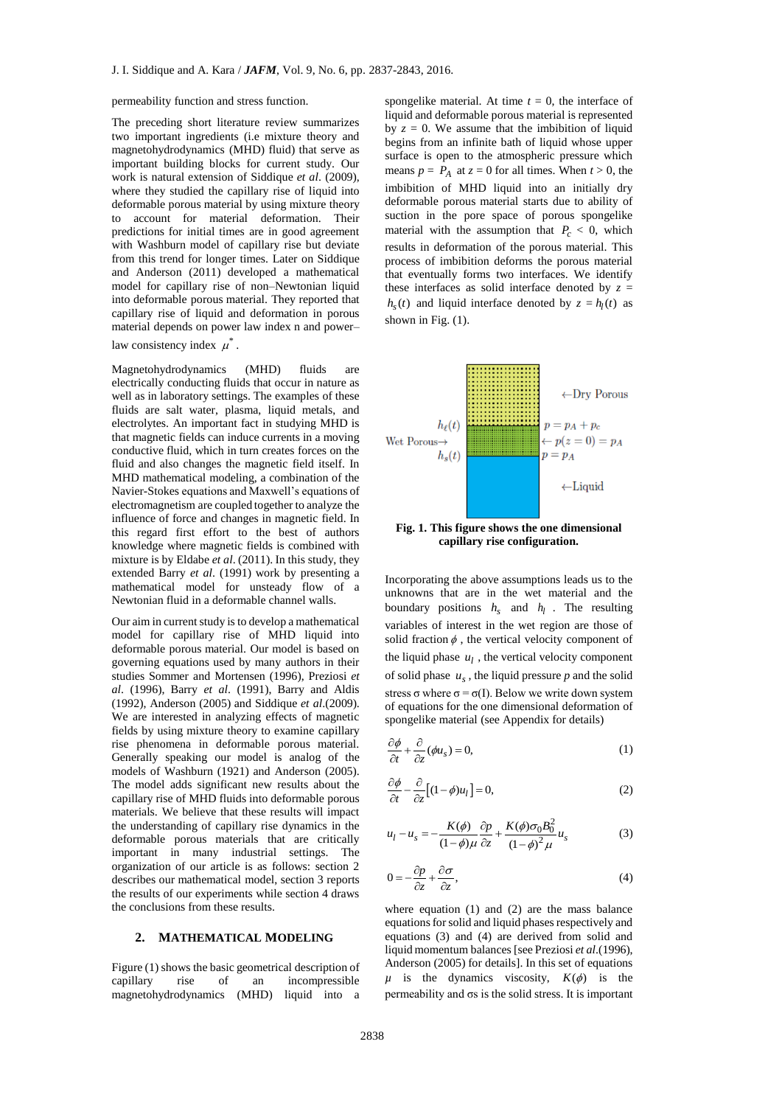permeability function and stress function.

The preceding short literature review summarizes two important ingredients (i.e mixture theory and magnetohydrodynamics (MHD) fluid) that serve as important building blocks for current study. Our work is natural extension of Siddique *et al*. (2009), where they studied the capillary rise of liquid into deformable porous material by using mixture theory to account for material deformation. Their predictions for initial times are in good agreement with Washburn model of capillary rise but deviate from this trend for longer times. Later on Siddique and Anderson (2011) developed a mathematical model for capillary rise of non–Newtonian liquid into deformable porous material. They reported that capillary rise of liquid and deformation in porous material depends on power law index n and power– law consistency index  $\mu^*$ .

Magnetohydrodynamics (MHD) fluids are electrically conducting fluids that occur in nature as well as in laboratory settings. The examples of these fluids are salt water, plasma, liquid metals, and electrolytes. An important fact in studying MHD is that magnetic fields can induce currents in a moving conductive fluid, which in turn creates forces on the fluid and also changes the magnetic field itself. In MHD mathematical modeling, a combination of the Navier-Stokes equations and Maxwell's equations of electromagnetism are coupled together to analyze the influence of force and changes in magnetic field. In this regard first effort to the best of authors knowledge where magnetic fields is combined with mixture is by Eldabe *et al*. (2011). In this study, they extended Barry *et al*. (1991) work by presenting a mathematical model for unsteady flow of a Newtonian fluid in a deformable channel walls.

Our aim in current study is to develop a mathematical model for capillary rise of MHD liquid into deformable porous material. Our model is based on governing equations used by many authors in their studies Sommer and Mortensen (1996), Preziosi *et al*. (1996), Barry *et al*. (1991), Barry and Aldis (1992), Anderson (2005) and Siddique *et al*.(2009). We are interested in analyzing effects of magnetic fields by using mixture theory to examine capillary rise phenomena in deformable porous material. Generally speaking our model is analog of the models of Washburn (1921) and Anderson (2005). The model adds significant new results about the capillary rise of MHD fluids into deformable porous materials. We believe that these results will impact the understanding of capillary rise dynamics in the deformable porous materials that are critically important in many industrial settings. The organization of our article is as follows: section 2 describes our mathematical model, section 3 reports the results of our experiments while section 4 draws the conclusions from these results.

# **2. MATHEMATICAL MODELING**

Figure (1) shows the basic geometrical description of capillary rise of an incompressible magnetohydrodynamics (MHD) liquid into a

spongelike material. At time  $t = 0$ , the interface of liquid and deformable porous material is represented by  $z = 0$ . We assume that the imbibition of liquid begins from an infinite bath of liquid whose upper surface is open to the atmospheric pressure which means  $p = P_A$  at  $z = 0$  for all times. When  $t > 0$ , the imbibition of MHD liquid into an initially dry deformable porous material starts due to ability of suction in the pore space of porous spongelike material with the assumption that  $P_c < 0$ , which results in deformation of the porous material. This process of imbibition deforms the porous material that eventually forms two interfaces. We identify these interfaces as solid interface denoted by  $z =$  $h<sub>s</sub>(t)$  and liquid interface denoted by  $z = h<sub>l</sub>(t)$  as shown in Fig. (1).



**Fig. 1. This figure shows the one dimensional capillary rise configuration.**

Incorporating the above assumptions leads us to the unknowns that are in the wet material and the boundary positions  $h_s$  and  $h_l$ . The resulting variables of interest in the wet region are those of solid fraction  $\phi$ , the vertical velocity component of the liquid phase  $u_l$ , the vertical velocity component of solid phase  $u_s$ , the liquid pressure  $p$  and the solid stress  $\sigma$  where  $\sigma = \sigma(I)$ . Below we write down system of equations for the one dimensional deformation of spongelike material (see Appendix for details)

$$
\frac{\partial \phi}{\partial t} + \frac{\partial}{\partial z}(\phi u_s) = 0,\tag{1}
$$

$$
\frac{\partial \phi}{\partial t} - \frac{\partial}{\partial z} \left[ (1 - \phi) u_l \right] = 0, \tag{2}
$$

$$
u_l - u_s = -\frac{K(\phi)}{(1-\phi)\mu} \frac{\partial p}{\partial z} + \frac{K(\phi)\sigma_0 B_0^2}{(1-\phi)^2 \mu} u_s \tag{3}
$$

$$
0 = -\frac{\partial p}{\partial z} + \frac{\partial \sigma}{\partial z},\tag{4}
$$

where equation (1) and (2) are the mass balance equations for solid and liquid phases respectively and equations (3) and (4) are derived from solid and liquid momentum balances [see Preziosi *et al*.(1996), Anderson (2005) for details]. In this set of equations  $\mu$  is the dynamics viscosity,  $K(\phi)$  is the permeability and σs is the solid stress. It is important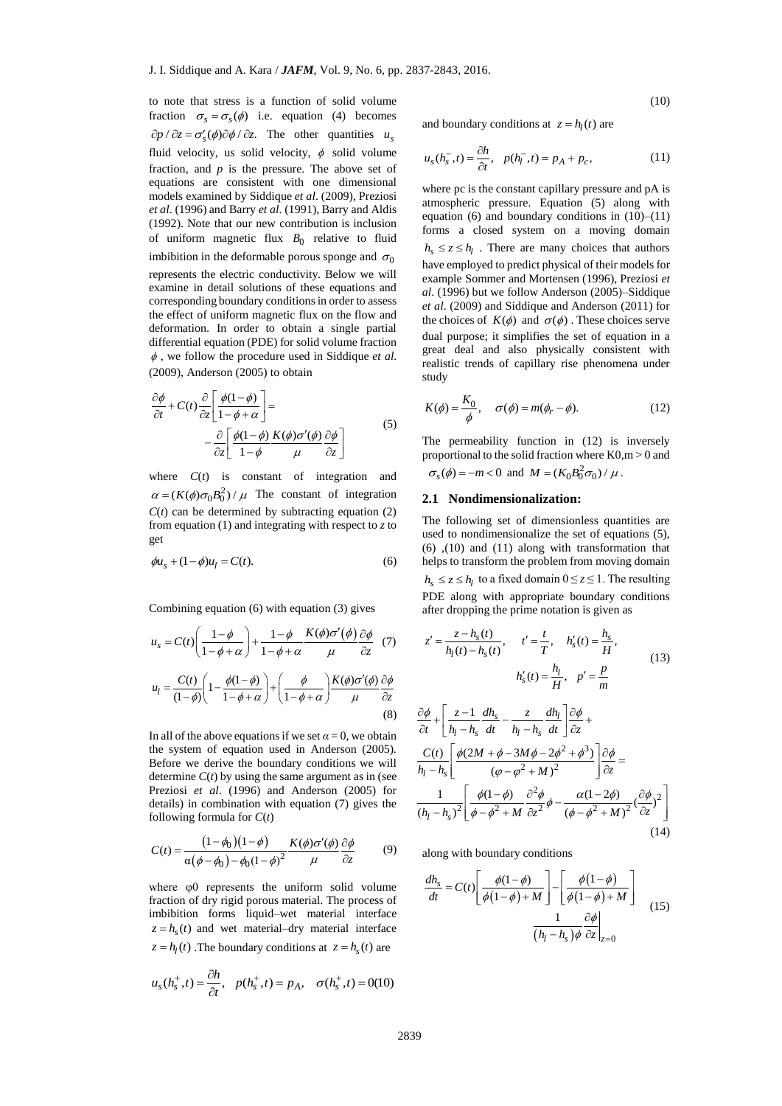to note that stress is a function of solid volume fraction  $\sigma_s = \sigma_s(\phi)$  i.e. equation (4) becomes  $\partial p / \partial z = \sigma_s'(\phi) \partial \phi / \partial z$ . The other quantities  $u_s$ fluid velocity, us solid velocity,  $\phi$  solid volume fraction, and  $p$  is the pressure. The above set of equations are consistent with one dimensional models examined by Siddique *et al*. (2009), Preziosi *et al*. (1996) and Barry *et al*. (1991), Barry and Aldis (1992). Note that our new contribution is inclusion of uniform magnetic flux  $B_0$  relative to fluid imbibition in the deformable porous sponge and  $\sigma_0$ represents the electric conductivity. Below we will examine in detail solutions of these equations and corresponding boundary conditions in order to assess the effect of uniform magnetic flux on the flow and deformation. In order to obtain a single partial differential equation (PDE) for solid volume fraction , we follow the procedure used in Siddique *et al*. (2009), Anderson (2005) to obtain

$$
\frac{\partial \phi}{\partial t} + C(t) \frac{\partial}{\partial z} \left[ \frac{\phi(1-\phi)}{1-\phi+\alpha} \right] =
$$
\n
$$
- \frac{\partial}{\partial z} \left[ \frac{\phi(1-\phi)}{1-\phi} \frac{K(\phi)\sigma'(\phi)}{\mu} \frac{\partial \phi}{\partial z} \right]
$$
\n(5)

where *C*(*t*) is constant of integration and  $\alpha = (K(\phi)\sigma_0 B_0^2)/\mu$  The constant of integration  $C(t)$  can be determined by subtracting equation (2) from equation (1) and integrating with respect to *z* to get

$$
\phi u_s + (1 - \phi)u_l = C(t). \tag{6}
$$

Combining equation (6) with equation (3) gives

$$
u_s = C(t) \left( \frac{1 - \phi}{1 - \phi + \alpha} \right) + \frac{1 - \phi}{1 - \phi + \alpha} \frac{K(\phi)\sigma'(\phi)}{\mu} \frac{\partial \phi}{\partial z} \quad (7)
$$

$$
u_l = \frac{C(t)}{(1 - \phi)} \left( 1 - \frac{\phi(1 - \phi)}{1 - \phi + \alpha} \right) + \left( \frac{\phi}{1 - \phi + \alpha} \right) \frac{K(\phi)\sigma'(\phi)}{\mu} \frac{\partial \phi}{\partial z} \quad (8)
$$

In all of the above equations if we set  $\alpha = 0$ , we obtain the system of equation used in Anderson (2005). Before we derive the boundary conditions we will determine  $C(t)$  by using the same argument as in (see Preziosi *et al*. (1996) and Anderson (2005) for details) in combination with equation (7) gives the following formula for *C*(*t*)

$$
C(t) = \frac{(1 - \phi_0)(1 - \phi)}{\alpha(\phi - \phi_0) - \phi_0(1 - \phi)^2} \frac{K(\phi)\sigma'(\phi)}{\mu} \frac{\partial \phi}{\partial z}
$$
(9)

where φ0 represents the uniform solid volume fraction of dry rigid porous material. The process of imbibition forms liquid–wet material interface  $z = h<sub>s</sub>(t)$  and wet material–dry material interface  $z = h<sub>l</sub>(t)$ . The boundary conditions at  $z = h<sub>s</sub>(t)$  are

$$
u_s(h_s^+,t) = \frac{\partial h}{\partial t}, \quad p(h_s^+,t) = p_A, \quad \sigma(h_s^+,t) = 0
$$
(10)

(10)

and boundary conditions at  $z = h_l(t)$  are

$$
u_s(h_s^-,t) = \frac{\partial h}{\partial t}, \quad p(h_l^-,t) = p_A + p_c,\tag{11}
$$

where pc is the constant capillary pressure and pA is atmospheric pressure. Equation (5) along with equation (6) and boundary conditions in  $(10)$ – $(11)$ forms a closed system on a moving domain  $h_s \leq z \leq h_l$ . There are many choices that authors have employed to predict physical of their models for example Sommer and Mortensen (1996), Preziosi *et al*. (1996) but we follow Anderson (2005)–Siddique *et al*. (2009) and Siddique and Anderson (2011) for the choices of  $K(\phi)$  and  $\sigma(\phi)$ . These choices serve dual purpose; it simplifies the set of equation in a great deal and also physically consistent with realistic trends of capillary rise phenomena under study

$$
K(\phi) = \frac{K_0}{\phi}, \quad \sigma(\phi) = m(\phi_r - \phi). \tag{12}
$$

The permeability function in (12) is inversely proportional to the solid fraction where K0,m > 0 and  $\sigma_s(\phi) = -m < 0$  and  $M = (K_0 B_0^2 \sigma_0) / \mu$ .

#### **2.1 Nondimensionalization:**

The following set of dimensionless quantities are used to nondimensionalize the set of equations (5), (6) ,(10) and (11) along with transformation that helps to transform the problem from moving domain  $h_s \le z \le h_l$  to a fixed domain  $0 \le z \le 1$ . The resulting PDE along with appropriate boundary conditions after dropping the prime notation is given as

$$
z' = \frac{z - h_s(t)}{h_l(t) - h_s(t)}, \qquad t' = \frac{t}{T}, \qquad h'_s(t) = \frac{h_s}{H},
$$
  

$$
h'_s(t) = \frac{h_l}{H}, \quad p' = \frac{p}{m}
$$
 (13)

$$
\frac{\partial \phi}{\partial t} + \left[ \frac{z - 1}{h_l - h_s} \frac{dh_s}{dt} - \frac{z}{h_l - h_s} \frac{dh_l}{dt} \right] \frac{\partial \phi}{\partial z} + \frac{C(t)}{h_l - h_s} \left[ \frac{\phi(2M + \phi - 3M\phi - 2\phi^2 + \phi^3)}{(\phi - \phi^2 + M)^2} \right] \frac{\partial \phi}{\partial z} = \frac{1}{(h_l - h_s)^2} \left[ \frac{\phi(1 - \phi)}{\phi - \phi^2 + M} \frac{\partial^2 \phi}{\partial z^2} \phi - \frac{\alpha(1 - 2\phi)}{(\phi - \phi^2 + M)^2} (\frac{\partial \phi}{\partial z})^2 \right]
$$
(14)

along with boundary conditions

$$
\frac{dh_s}{dt} = C(t) \left[ \frac{\phi(1-\phi)}{\phi(1-\phi)+M} \right] - \left[ \frac{\phi(1-\phi)}{\phi(1-\phi)+M} \right]
$$
\n
$$
\frac{1}{(h_l - h_s)\phi} \frac{\partial \phi}{\partial z} \Big|_{z=0}
$$
\n(15)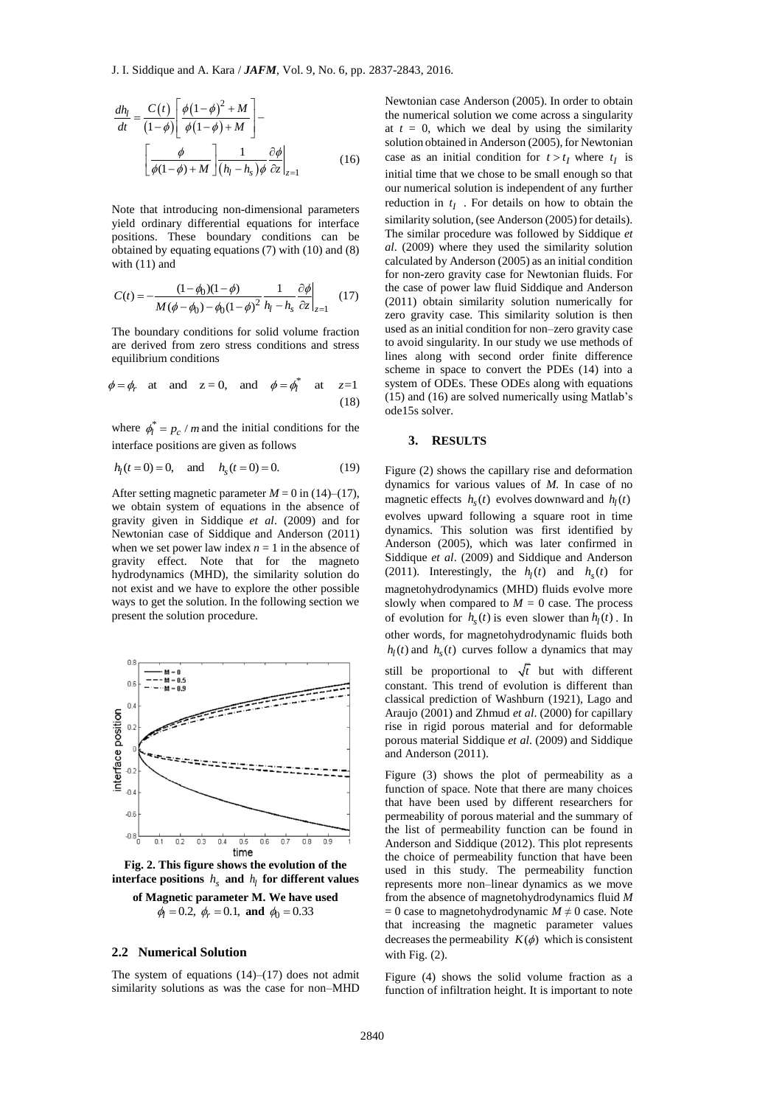$$
\frac{dh_l}{dt} = \frac{C(t)}{(1-\phi)} \left[ \frac{\phi(1-\phi)^2 + M}{\phi(1-\phi) + M} \right] -
$$

$$
\left[ \frac{\phi}{\phi(1-\phi) + M} \right] \frac{1}{(h_l - h_s) \phi} \frac{\partial \phi}{\partial z} \Big|_{z=1}
$$
(16)

Note that introducing non-dimensional parameters yield ordinary differential equations for interface positions. These boundary conditions can be obtained by equating equations (7) with (10) and (8) with (11) and

$$
C(t) = -\frac{(1 - \phi_0)(1 - \phi)}{M(\phi - \phi_0) - \phi_0(1 - \phi)^2} \frac{1}{h_l - h_s} \frac{\partial \phi}{\partial z}\bigg|_{z=1}
$$
 (17)

The boundary conditions for solid volume fraction are derived from zero stress conditions and stress equilibrium conditions

$$
\phi = \phi_r
$$
 at and  $z = 0$ , and  $\phi = \phi_l^*$  at  $z=1$   
(18)

where  $\phi_l^* = p_c / m$  and the initial conditions for the interface positions are given as follows

$$
h_1(t=0) = 0
$$
, and  $h_s(t=0) = 0$ . (19)

After setting magnetic parameter  $M = 0$  in (14)–(17), we obtain system of equations in the absence of gravity given in Siddique *et al*. (2009) and for Newtonian case of Siddique and Anderson (2011) when we set power law index  $n = 1$  in the absence of gravity effect. Note that for the magneto hydrodynamics (MHD), the similarity solution do not exist and we have to explore the other possible ways to get the solution. In the following section we present the solution procedure.



**Fig. 2. This figure shows the evolution of the interface positions**  $h_s$  **and**  $h_l$  **for different values of Magnetic parameter M. We have used**

# $\phi_l = 0.2$ ,  $\phi_r = 0.1$ , and  $\phi_0 = 0.33$

# **2.2 Numerical Solution**

The system of equations  $(14)$ – $(17)$  does not admit similarity solutions as was the case for non–MHD Newtonian case Anderson (2005). In order to obtain the numerical solution we come across a singularity at  $t = 0$ , which we deal by using the similarity solution obtained in Anderson (2005), for Newtonian case as an initial condition for  $t > t_I$  where  $t_I$  is initial time that we chose to be small enough so that our numerical solution is independent of any further reduction in  $t_I$ . For details on how to obtain the similarity solution, (see Anderson (2005) for details). The similar procedure was followed by Siddique *et al*. (2009) where they used the similarity solution calculated by Anderson (2005) as an initial condition for non-zero gravity case for Newtonian fluids. For the case of power law fluid Siddique and Anderson (2011) obtain similarity solution numerically for zero gravity case. This similarity solution is then used as an initial condition for non–zero gravity case to avoid singularity. In our study we use methods of lines along with second order finite difference scheme in space to convert the PDEs (14) into a system of ODEs. These ODEs along with equations (15) and (16) are solved numerically using Matlab's ode15s solver.

#### **3. RESULTS**

Figure (2) shows the capillary rise and deformation dynamics for various values of *M.* In case of no magnetic effects  $h_s(t)$  evolves downward and  $h_l(t)$ evolves upward following a square root in time dynamics. This solution was first identified by Anderson (2005), which was later confirmed in Siddique *et al*. (2009) and Siddique and Anderson (2011). Interestingly, the  $h_l(t)$  and  $h_s(t)$  for magnetohydrodynamics (MHD) fluids evolve more slowly when compared to  $M = 0$  case. The process of evolution for  $h_s(t)$  is even slower than  $h_l(t)$ . In other words, for magnetohydrodynamic fluids both  $h_l(t)$  and  $h_s(t)$  curves follow a dynamics that may

still be proportional to  $\sqrt{t}$  but with different constant. This trend of evolution is different than classical prediction of Washburn (1921), Lago and Araujo (2001) and Zhmud *et al*. (2000) for capillary rise in rigid porous material and for deformable porous material Siddique *et al*. (2009) and Siddique and Anderson (2011).

Figure (3) shows the plot of permeability as a function of space. Note that there are many choices that have been used by different researchers for permeability of porous material and the summary of the list of permeability function can be found in Anderson and Siddique (2012). This plot represents the choice of permeability function that have been used in this study. The permeability function represents more non–linear dynamics as we move from the absence of magnetohydrodynamics fluid *M*  $= 0$  case to magnetohydrodynamic  $M \neq 0$  case. Note that increasing the magnetic parameter values decreases the permeability  $K(\phi)$  which is consistent with Fig.  $(2)$ .

Figure (4) shows the solid volume fraction as a function of infiltration height. It is important to note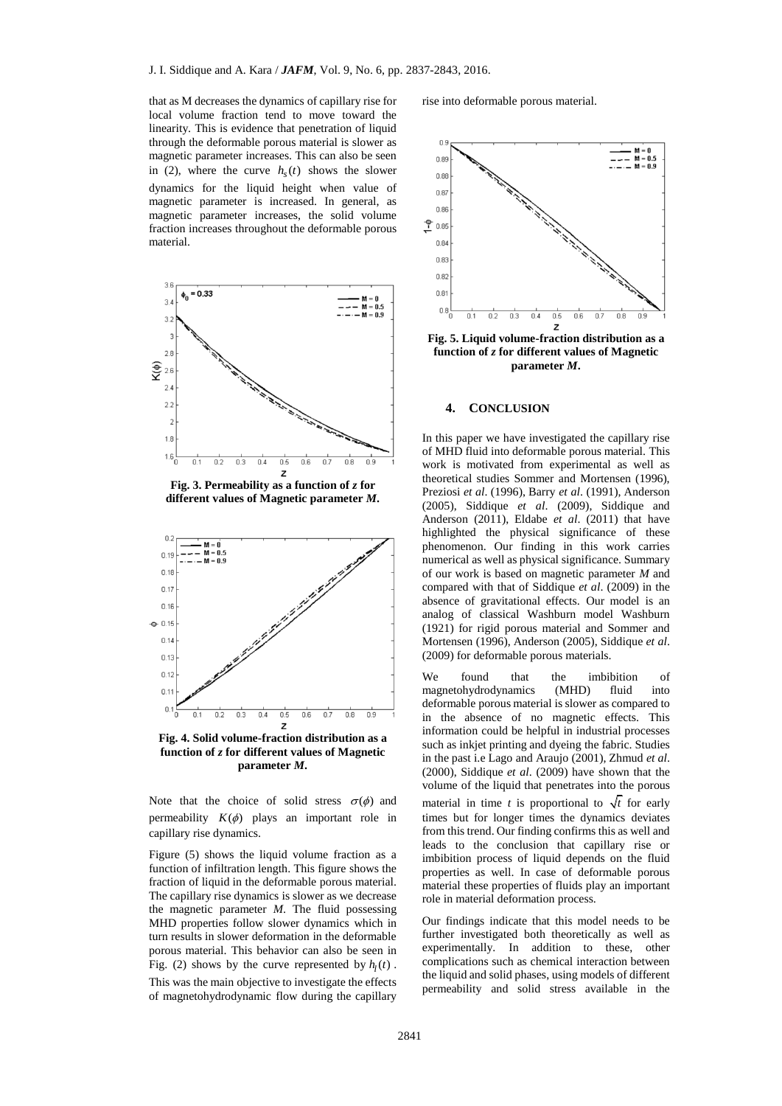that as M decreases the dynamics of capillary rise for local volume fraction tend to move toward the linearity. This is evidence that penetration of liquid through the deformable porous material is slower as magnetic parameter increases. This can also be seen in (2), where the curve  $h<sub>s</sub>(t)$  shows the slower dynamics for the liquid height when value of magnetic parameter is increased. In general, as magnetic parameter increases, the solid volume fraction increases throughout the deformable porous material.



**Fig. 3. Permeability as a function of** *z* **for different values of Magnetic parameter** *M***.**



**Fig. 4. Solid volume-fraction distribution as a function of** *z* **for different values of Magnetic parameter** *M***.**

Note that the choice of solid stress  $\sigma(\phi)$  and permeability  $K(\phi)$  plays an important role in capillary rise dynamics.

Figure (5) shows the liquid volume fraction as a function of infiltration length. This figure shows the fraction of liquid in the deformable porous material. The capillary rise dynamics is slower as we decrease the magnetic parameter *M*. The fluid possessing MHD properties follow slower dynamics which in turn results in slower deformation in the deformable porous material. This behavior can also be seen in Fig. (2) shows by the curve represented by  $h_l(t)$ . This was the main objective to investigate the effects of magnetohydrodynamic flow during the capillary

rise into deformable porous material.



**Fig. 5. Liquid volume-fraction distribution as a function of** *z* **for different values of Magnetic parameter** *M***.**

#### **4. CONCLUSION**

In this paper we have investigated the capillary rise of MHD fluid into deformable porous material. This work is motivated from experimental as well as theoretical studies Sommer and Mortensen (1996), Preziosi *et al*. (1996), Barry *et al*. (1991), Anderson (2005), Siddique *et al*. (2009), Siddique and Anderson (2011), Eldabe *et al*. (2011) that have highlighted the physical significance of these phenomenon. Our finding in this work carries numerical as well as physical significance. Summary of our work is based on magnetic parameter *M* and compared with that of Siddique *et al*. (2009) in the absence of gravitational effects. Our model is an analog of classical Washburn model Washburn (1921) for rigid porous material and Sommer and Mortensen (1996), Anderson (2005), Siddique *et al*. (2009) for deformable porous materials.

We found that the imbibition of magnetohydrodynamics (MHD) fluid into deformable porous material is slower as compared to in the absence of no magnetic effects. This information could be helpful in industrial processes such as inkjet printing and dyeing the fabric. Studies in the past i.e Lago and Araujo (2001), Zhmud *et al*. (2000), Siddique *et al*. (2009) have shown that the volume of the liquid that penetrates into the porous material in time *t* is proportional to  $\sqrt{t}$  for early times but for longer times the dynamics deviates from this trend. Our finding confirms this as well and leads to the conclusion that capillary rise or imbibition process of liquid depends on the fluid properties as well. In case of deformable porous material these properties of fluids play an important role in material deformation process.

Our findings indicate that this model needs to be further investigated both theoretically as well as experimentally. In addition to these, other complications such as chemical interaction between the liquid and solid phases, using models of different permeability and solid stress available in the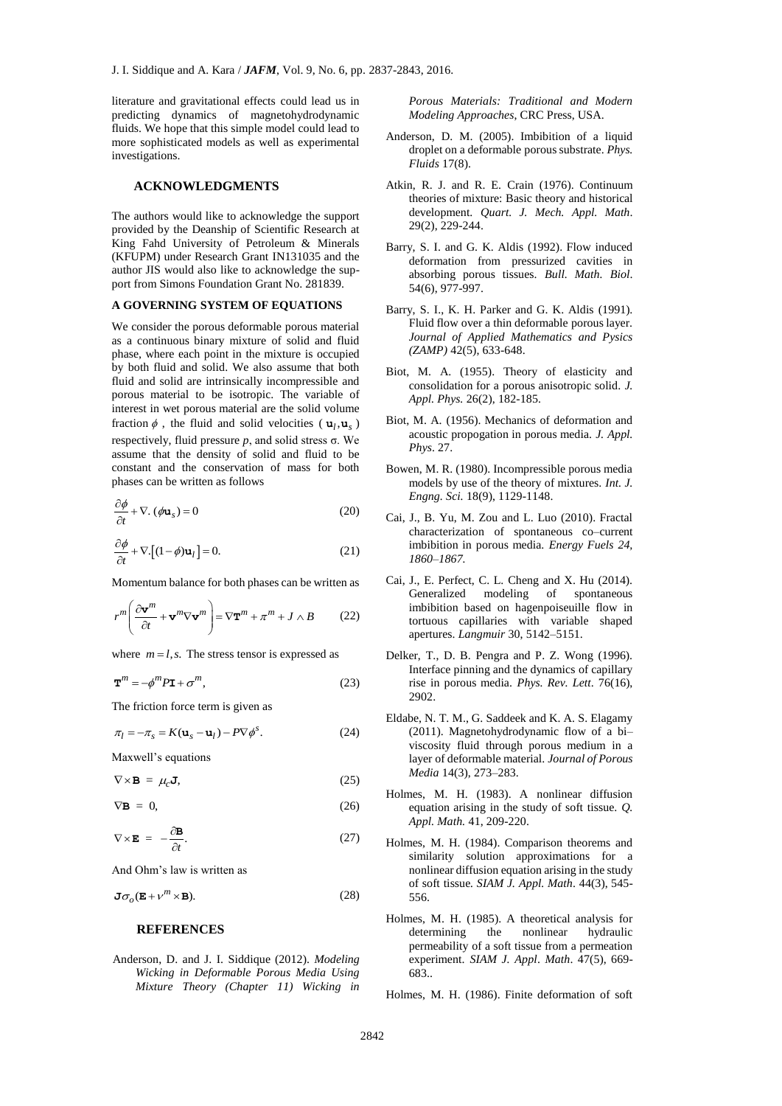literature and gravitational effects could lead us in predicting dynamics of magnetohydrodynamic fluids. We hope that this simple model could lead to more sophisticated models as well as experimental investigations.

# **ACKNOWLEDGMENTS**

The authors would like to acknowledge the support provided by the Deanship of Scientific Research at King Fahd University of Petroleum & Minerals (KFUPM) under Research Grant IN131035 and the author JIS would also like to acknowledge the support from Simons Foundation Grant No. 281839.

#### **A GOVERNING SYSTEM OF EQUATIONS**

We consider the porous deformable porous material as a continuous binary mixture of solid and fluid phase, where each point in the mixture is occupied by both fluid and solid. We also assume that both fluid and solid are intrinsically incompressible and porous material to be isotropic. The variable of interest in wet porous material are the solid volume fraction  $\phi$ , the fluid and solid velocities ( $\mathbf{u}_l, \mathbf{u}_s$ ) respectively, fluid pressure *, and solid stress σ. We* assume that the density of solid and fluid to be constant and the conservation of mass for both phases can be written as follows

$$
\frac{\partial \phi}{\partial t} + \nabla \cdot (\phi \mathbf{u}_s) = 0 \tag{20}
$$

$$
\frac{\partial \phi}{\partial t} + \nabla \left[ (1 - \phi) \mathbf{u}_l \right] = 0. \tag{21}
$$

Momentum balance for both phases can be written as

$$
r^{m} \left( \frac{\partial \mathbf{v}^{m}}{\partial t} + \mathbf{v}^{m} \nabla \mathbf{v}^{m} \right) = \nabla \mathbf{T}^{m} + \pi^{m} + J \wedge B \qquad (22)
$$

where  $m = l$ , s. The stress tensor is expressed as

$$
\mathbf{T}^{m} = -\phi^{m} P \mathbf{I} + \sigma^{m},\tag{23}
$$

The friction force term is given as

$$
\pi_l = -\pi_s = K(\mathbf{u}_s - \mathbf{u}_l) - P \nabla \phi^s.
$$
 (24)

Maxwell's equations

 $\nabla \times \mathbf{B} = \mu_c \mathbf{J}$ , (25)

 $\nabla$ **B** = 0, (26)

$$
\nabla \times \mathbf{E} = -\frac{\partial \mathbf{B}}{\partial t}.
$$
 (27)

And Ohm's law is written as

$$
\mathbf{J}\sigma_o(\mathbf{E} + v^m \times \mathbf{B}).
$$
 (28)

# **REFERENCES**

Anderson, D. and J. I. Siddique (2012). *Modeling Wicking in Deformable Porous Media Using Mixture Theory (Chapter 11) Wicking in* 

*Porous Materials: Traditional and Modern Modeling Approaches*, CRC Press, USA.

- Anderson, D. M. (2005). Imbibition of a liquid droplet on a deformable porous substrate. *Phys. Fluids* 17(8).
- Atkin, R. J. and R. E. Crain (1976). Continuum theories of mixture: Basic theory and historical development. *Quart. J. Mech. Appl. Math*. 29(2), 229-244.
- Barry, S. I. and G. K. Aldis (1992). Flow induced deformation from pressurized cavities in absorbing porous tissues. *Bull. Math. Biol*. 54(6), 977-997.
- Barry, S. I., K. H. Parker and G. K. Aldis (1991). Fluid flow over a thin deformable porous layer. *Journal of Applied Mathematics and Pysics (ZAMP)* 42(5), 633-648.
- Biot, M. A. (1955). Theory of elasticity and consolidation for a porous anisotropic solid. *J. Appl. Phys.* 26(2), 182-185.
- Biot, M. A. (1956). Mechanics of deformation and acoustic propogation in porous media. *J. Appl. Phys*. 27.
- Bowen, M. R. (1980). Incompressible porous media models by use of the theory of mixtures. *Int. J. Engng. Sci.* 18(9), 1129-1148.
- Cai, J., B. Yu, M. Zou and L. Luo (2010). Fractal characterization of spontaneous co–current imbibition in porous media. *Energy Fuels 24, 1860–1867.*
- Cai, J., E. Perfect, C. L. Cheng and X. Hu (2014). Generalized modeling of spontaneous imbibition based on hagenpoiseuille flow in tortuous capillaries with variable shaped apertures. *Langmuir* 30, 5142–5151.
- Delker, T., D. B. Pengra and P. Z. Wong (1996). Interface pinning and the dynamics of capillary rise in porous media. *Phys. Rev. Lett*. 76(16), 2902.
- Eldabe, N. T. M., G. Saddeek and K. A. S. Elagamy (2011). Magnetohydrodynamic flow of a bi– viscosity fluid through porous medium in a layer of deformable material. *Journal of Porous Media* 14(3), 273–283.
- Holmes, M. H. (1983). A nonlinear diffusion equation arising in the study of soft tissue. *Q. Appl. Math.* 41, 209-220.
- Holmes, M. H. (1984). Comparison theorems and similarity solution approximations for a nonlinear diffusion equation arising in the study of soft tissue*. SIAM J. Appl. Math*. 44(3), 545- 556.
- Holmes, M. H. (1985). A theoretical analysis for determining the nonlinear hydraulic permeability of a soft tissue from a permeation experiment. *SIAM J. Appl*. *Math*. 47(5), 669- 683..

Holmes, M. H. (1986). Finite deformation of soft